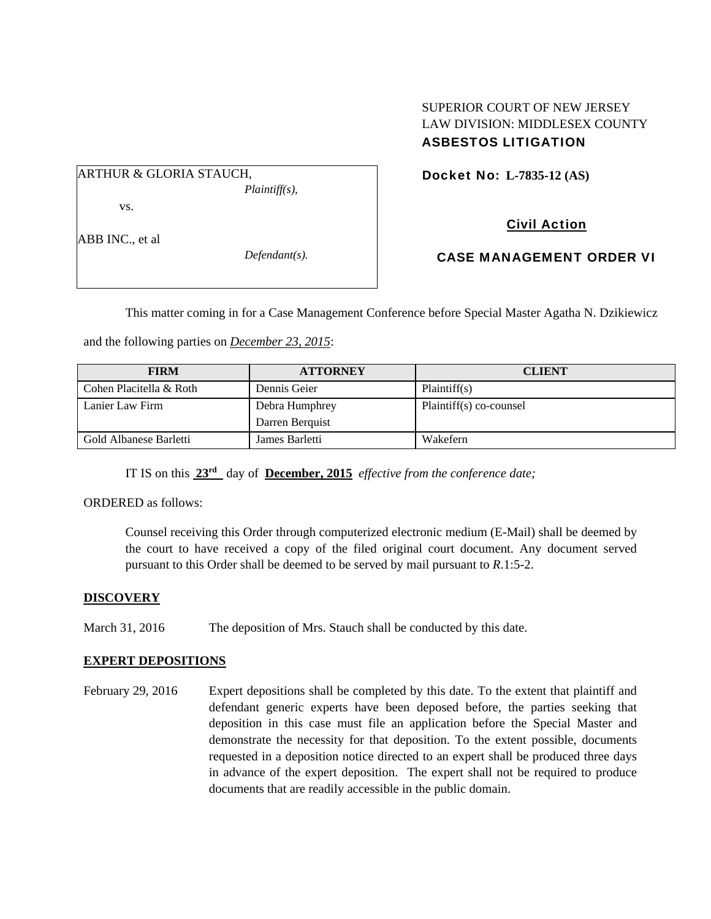## SUPERIOR COURT OF NEW JERSEY LAW DIVISION: MIDDLESEX COUNTY ASBESTOS LITIGATION

ARTHUR & GLORIA STAUCH,

*Plaintiff(s),* 

vs.

ABB INC., et al

*Defendant(s).* 

Docket No: **L-7835-12 (AS)** 

Civil Action

CASE MANAGEMENT ORDER VI

This matter coming in for a Case Management Conference before Special Master Agatha N. Dzikiewicz

and the following parties on *December 23, 2015*:

| <b>FIRM</b>             | <b>ATTORNEY</b> | <b>CLIENT</b>           |
|-------------------------|-----------------|-------------------------|
| Cohen Placitella & Roth | Dennis Geier    | Plaintiff(s)            |
| Lanier Law Firm         | Debra Humphrey  | Plaintiff(s) co-counsel |
|                         | Darren Berguist |                         |
| Gold Albanese Barletti  | James Barletti  | Wakefern                |

IT IS on this **23rd** day of **December, 2015** *effective from the conference date;*

ORDERED as follows:

Counsel receiving this Order through computerized electronic medium (E-Mail) shall be deemed by the court to have received a copy of the filed original court document. Any document served pursuant to this Order shall be deemed to be served by mail pursuant to *R*.1:5-2.

## **DISCOVERY**

March 31, 2016 The deposition of Mrs. Stauch shall be conducted by this date.

## **EXPERT DEPOSITIONS**

February 29, 2016 Expert depositions shall be completed by this date. To the extent that plaintiff and defendant generic experts have been deposed before, the parties seeking that deposition in this case must file an application before the Special Master and demonstrate the necessity for that deposition. To the extent possible, documents requested in a deposition notice directed to an expert shall be produced three days in advance of the expert deposition. The expert shall not be required to produce documents that are readily accessible in the public domain.